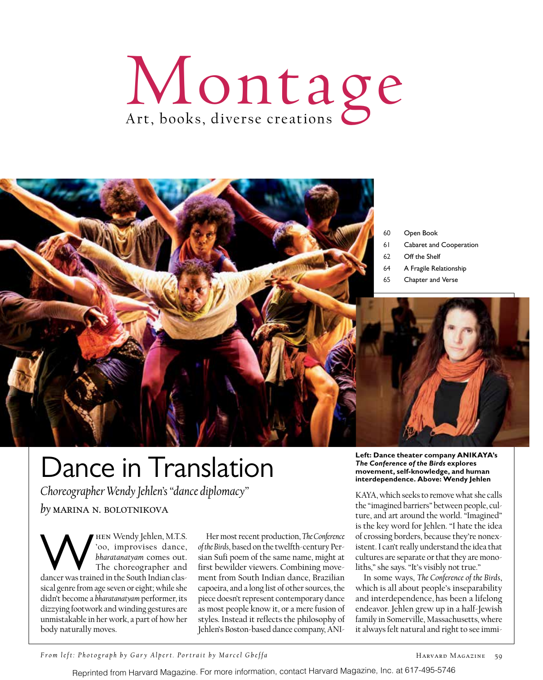



# Dance in Translation

*Choreographer Wendy Jehlen's "dance diplomacy" by* marina n. bolotnikova

**WEEN Wendy Jehlen, M.T.S.**<br>
Soo, improvises dance,<br>
the choreographer and<br>
dancer was trained in the South Indian clas-'00, improvises dance, *bharatanatyam* comes out. The choreographer and sical genre from age seven or eight; while she didn't become a *bharatanatyam* performer, its dizzying footwork and winding gestures are unmistakable in her work, a part of how her body naturally moves.

Her most recent production, *The Conference of the Birds*, based on the twelfth-century Persian Sufi poem of the same name, might at first bewilder viewers. Combining movement from South Indian dance, Brazilian capoeira, and a long list of other sources, the piece doesn't represent contemporary dance as most people know it, or a mere fusion of styles. Instead it reflects the philosophy of Jehlen's Boston-based dance company, ANI-

#### **Left: Dance theater company ANIKAYA's**  *The Conference of the Birds* **explores movement, self-knowledge, and human interdependence. Above: Wendy Jehlen**

KAYA, which seeks to remove what she calls the "imagined barriers" between people, culture, and art around the world. "Imagined" is the key word for Jehlen. "I hate the idea of crossing borders, because they're nonexistent. I can't really understand the idea that cultures are separate or that they are monoliths," she says. "It's visibly not true."

In some ways, *The Conference of the Birds*, which is all about people's inseparability and interdependence, has been a lifelong endeavor. Jehlen grew up in a half-Jewish family in Somerville, Massachusetts, where it always felt natural and right to see immi-

*From left: Photograph by Gary Alpert. Portrait by Marcel Gbeffa* 

Reprinted from Harvard Magazine. For more information, contact Harvard Magazine, Inc. at 617-495-5746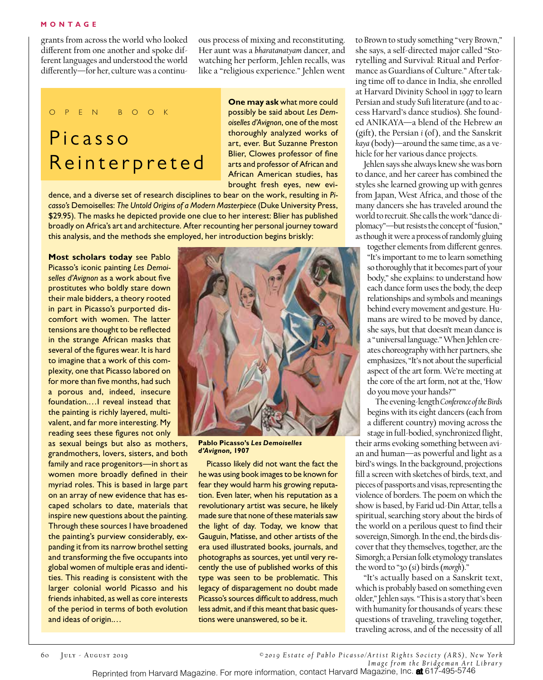### **MONTAGE**

grants from across the world who looked different from one another and spoke different languages and understood the world differently—for her, culture was a continuous process of mixing and reconstituting. Her aunt was a *bharatanatyam* dancer, and watching her perform, Jehlen recalls, was like a "religious experience." Jehlen went

### o p e n b o o k Picasso Reinterpreted

**One may ask** what more could possibly be said about *Les Demoiselles d'Avignon*, one of the most thoroughly analyzed works of art, ever. But Suzanne Preston Blier, Clowes professor of fine arts and professor of African and African American studies, has brought fresh eyes, new evi-

dence, and a diverse set of research disciplines to bear on the work, resulting in *Picasso's* Demoiselles: *The Untold Origins of a Modern Masterpiece* (Duke University Press, \$29.95). The masks he depicted provide one clue to her interest: Blier has published broadly on Africa's art and architecture. After recounting her personal journey toward this analysis, and the methods she employed, her introduction begins briskly:

**Most scholars today** see Pablo Picasso's iconic painting *Les Demoiselles d'Avignon* as a work about five prostitutes who boldly stare down their male bidders, a theory rooted in part in Picasso's purported discomfort with women. The latter tensions are thought to be reflected in the strange African masks that several of the figures wear. It is hard to imagine that a work of this complexity, one that Picasso labored on for more than five months, had such a porous and, indeed, insecure foundation.…I reveal instead that the painting is richly layered, multivalent, and far more interesting. My reading sees these figures not only

as sexual beings but also as mothers, grandmothers, lovers, sisters, and both family and race progenitors—in short as women more broadly defined in their myriad roles. This is based in large part on an array of new evidence that has escaped scholars to date, materials that inspire new questions about the painting. Through these sources I have broadened the painting's purview considerably, expanding it from its narrow brothel setting and transforming the five occupants into global women of multiple eras and identities. This reading is consistent with the larger colonial world Picasso and his friends inhabited, as well as core interests of the period in terms of both evolution and ideas of origin.…



**Pablo Picasso's** *Les Demoiselles d'Avignon,* **1907** 

Picasso likely did not want the fact the he was using book images to be known for fear they would harm his growing reputation. Even later, when his reputation as a revolutionary artist was secure, he likely made sure that none of these materials saw the light of day. Today, we know that Gauguin, Matisse, and other artists of the era used illustrated books, journals, and photographs as sources, yet until very recently the use of published works of this type was seen to be problematic. This legacy of disparagement no doubt made Picasso's sources difficult to address, much less admit, and if this meant that basic questions were unanswered, so be it.

to Brown to study something "very Brown," she says, a self-directed major called "Storytelling and Survival: Ritual and Performance as Guardians of Culture." After taking time off to dance in India, she enrolled at Harvard Divinity School in 1997 to learn Persian and study Sufi literature (and to access Harvard's dance studios). She founded ANIKAYA—a blend of the Hebrew *an*  (gift), the Persian *i* (of), and the Sanskrit *kaya* (body)—around the same time, as a vehicle for her various dance projects.

Jehlen says she always knew she was born to dance, and her career has combined the styles she learned growing up with genres from Japan, West Africa, and those of the many dancers she has traveled around the world to recruit. She calls the work "dance diplomacy"—but resists the concept of "fusion," as though it were a process of randomly gluing

together elements from different genres. "It's important to me to learn something so thoroughly that it becomes part of your body," she explains: to understand how each dance form uses the body, the deep relationships and symbols and meanings behind every movement and gesture. Humans are wired to be moved by dance, she says, but that doesn't mean dance is a "universal language." When Jehlen creates choreography with her partners, she emphasizes, "It's not about the superficial aspect of the art form. We're meeting at the core of the art form, not at the, 'How do you move your hands?'"

The evening-length *Conference of the Birds* begins with its eight dancers (each from a different country) moving across the stage in full-bodied, synchronized flight,

their arms evoking something between avian and human—as powerful and light as a bird's wings. In the background, projections fill a screen with sketches of birds, text, and pieces of passports and visas, representing the violence of borders. The poem on which the show is based, by Farid ud-Din Attar, tells a spiritual, searching story about the birds of the world on a perilous quest to find their sovereign, Simorgh. In the end, the birds discover that they themselves, together, are the Simorgh; a Persian folk etymology translates the word to "30 (*si*) birds (*morgh*)."

"It's actually based on a Sanskrit text, which is probably based on something even older," Jehlen says. "This is a story that's been with humanity for thousands of years: these questions of traveling, traveling together, traveling across, and of the necessity of all

 $\circ$  2019 Estate of Pablo Picasso/Artist Rights Society (ARS), New York *Image from the Bridgeman Art Library*